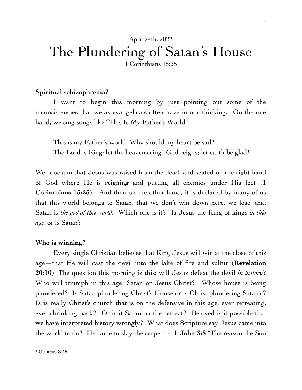# April 24th, 2022 The Plundering of Satan's House

1 Corinthians 15:25

#### **Spiritual schizophrenia?**

I want to begin this morning by just pointing out some of the inconsistencies that we as evangelicals often have in our thinking. On the one hand, we sing songs like "This Is My Father's World"

This is my Father's world: Why should my heart be sad? The Lord is King: let the heavens ring! God reigns; let earth be glad!

We proclaim that Jesus was raised from the dead, and seated on the right hand of God where He is reigning and putting all enemies under His feet (**1 Corinthians 15:25**). And then on the other hand, it is declared by many of us that this world belongs to Satan, that we don't win down here, we lose, that Satan is *the god of this world*. Which one is it? Is Jesus the King of kings *in this age*, or is Satan?

#### **Who is winning?**

Every single Christian believes that King Jesus will win at the close of this age—that He will cast the devil into the lake of fire and sulfur (**Revelation 20:10**). The question this morning is this: will Jesus defeat the devil *in history*? Who will triumph in this age: Satan or Jesus Christ? Whose house is being plundered? Is Satan plundering Christ's House or is Christ plundering Satan's? Is is really Christ's church that is on the defensive in this age, ever retreating, ever shrinking back? Or is it Satan on the retreat? Beloved is it possible that we have interpreted history wrongly? What does Scripture say Jesus came into the world to do? He came to slay the serpent. **1 John 3:8** "The reason the Son 1

<span id="page-0-1"></span><span id="page-0-0"></span>[<sup>1</sup>](#page-0-1) Genesis 3:15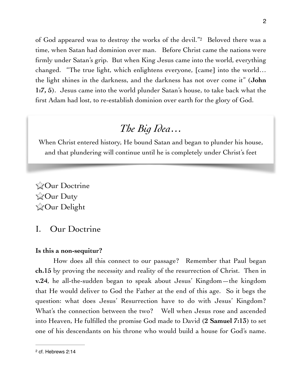of God appeared was to destroy the works of the devil.["](#page-1-0)<sup>[2](#page-1-0)</sup> Beloved there was a time, when Satan had dominion over man. Before Christ came the nations were firmly under Satan's grip. But when King Jesus came into the world, everything changed. "The true light, which enlightens everyone, [came] into the world… the light shines in the darkness, and the darkness has not over come it" (**John 1:7, 5**). Jesus came into the world plunder Satan's house, to take back what the first Adam had lost, to re-establish dominion over earth for the glory of God.

## *The Big Idea…*

When Christ entered history, He bound Satan and began to plunder his house, and that plundering will continue until he is completely under Christ's feet

**ZOur Doctrine ZOur Duty ZOur Delight** 

## I. Our Doctrine

#### **Is this a non-sequitur?**

How does all this connect to our passage? Remember that Paul began **ch.15** by proving the necessity and reality of the resurrection of Christ. Then in **v.24**, he all-the-sudden began to speak about Jesus' Kingdom—the kingdom that He would deliver to God the Father at the end of this age. So it begs the question: what does Jesus' Resurrection have to do with Jesus' Kingdom? What's the connection between the two? Well when Jesus rose and ascended into Heaven, He fulfilled the promise God made to David (**2 Samuel 7:13**) to set one of his descendants on his throne who would build a house for God's name.

2

<span id="page-1-1"></span>

<span id="page-1-0"></span>[<sup>2</sup>](#page-1-1) cf. Hebrews 2:14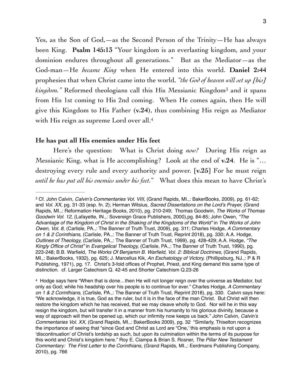<span id="page-2-2"></span>Yes, as the Son of God,—as the Second Person of the Trinity—He has always been King. **Psalm 145:13** "Your kingdom is an everlasting kingdom, and your dominion endures throughout all generations." But as the Mediator—as the God-man—He *became King* when He entered into this world. **Daniel 2:44**  prophesies that when Christ came into the world, *"the God of heaven will set up [his]*   $\kappa$ *ingdom.*" Reformed theologians call this His Messianic Kingdom<sup>[3](#page-2-0)</sup> and it spans from His 1st coming to His 2nd coming. When He comes again, then He will give this Kingdom to His Father (**v.24**), thus combining His reign as Mediator with His reign as supreme Lord over all.<sup>4</sup>

#### <span id="page-2-3"></span>**He has put all His enemies under His feet**

Here's the question: What is Christ doing *now?* During His reign as Messianic King, what is He accomplishing? Look at the end of **v.24**. He is "… destroying every rule and every authority and power. [**v.25**] For he must reign *until he has put all his enemies under his feet.*" What does this mean to have Christ's

<span id="page-2-0"></span>Cf. John Calvin, *Calvin's Commentaries Vol. VIII,* (Grand Rapids, MI.,: BakerBooks, 2009), pg. 61-62; [3](#page-2-2) and *Vol. XX,* pg. 31-33 (esp. fn. 2); Herman Witsius, *Sacred Dissertations on the Lord's Prayer,* (Grand Rapids, MI.,: Reformation Heritage Books, 2010), pg. 210-249; Thomas Goodwin, *The Works of Thomas Goodwin Vol. 12,* (Lafayette, IN.,: Sovereign Grace Publishers, 2000),pg. 84-85; John Owen, *"The Advantage of the Kingdom of Christ in the Shaking of the Kingdoms of the World"* in *The Works of John Owen, Vol. 8,* (Carlisle, PA.,: The Banner of Truth Trust, 2009), pg. 311; Charles Hodge, *A Commentary on 1 & 2 Corinthians,* (Carlisle, PA.,: The Banner of Truth Trust, Reprint 2018), pg. 330; A.A. Hodge, *Outlines of Theology,* (Carlisle, PA.,: The Banner of Truth Trust, 1999), pg. 428-429; A.A. Hodge, *"The Kingly Office of Christ"* in *Evangelical Theology,* (Carlisle, PA.,: The Banner of Truth Trust, 1990), pg. 223-248; B.B. Warfield, *The Works Of Benjamin B. Warfield, Vol. 2: Biblical Doctrines,* (Grand Rapids, MI.,: BakerBooks, 1932), pg. 625; J. Marcellus Kik, *An Eschatology of Victory,* (Phillipsburg, NJ.,: P & R Publishing, 1971), pg. 17. Christ's 3-fold offices of Prophet, Priest, and King demand this same type of distinction. cf. Larger Catechism Q. 42-45 and Shorter Catechism Q.23-26

<span id="page-2-1"></span><sup>&</sup>lt;sup>4</sup>Hodge says here "When that is done...then He will not longer reign over the universe as Mediator, but only as God; while his headship over his people is to continue for ever." Charles Hodge, *A Commentary on 1 & 2 Corinthians,* (Carlisle, PA.,: The Banner of Truth Trust, Reprint 2018), pg. 330. Calvin says here: "We acknowledge, it is true, God as the ruler, but it is in the face of the man Christ. But Christ will then restore the kingdom which he has received, that we may cleave wholly to God. Nor will he in this way resign the kingdom, but will transfer it in a manner from his humanity to his glorious divinity, because a way of approach will then be opened up, which our infirmity now keeps us back." John Calvin, *Calvin's Commentaries Vol. XX,* (Grand Rapids, MI.,: BakerBooks 2009), pg. 32 "Similarly, Thiselton recognizes the importance of seeing that "since God and Christ as Lord are "One,' this emphasis is not upon a 'discontinuation' of Christ's lordship as such, but upon its culmination within the terms of its purpose for this world and Christ's kingdom here." Roy E. Ciampa & Brian S. Rosner, *The Pillar New Testament Commentary: The First Letter to the Corinthians,* (Grand Rapids, MI.,: Eerdmans Publishing Company, 2010), pg. 766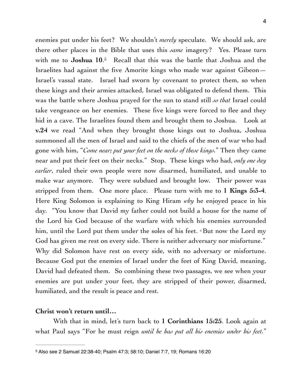<span id="page-3-1"></span>enemies put under his feet? We shouldn't *merely* speculate. We should ask, are there other places in the Bible that uses this *same* imagery? Yes. Please turn with me to **Joshua 10**.<sup>[5](#page-3-0)</sup> Recall that this was the battle that Joshua and the Israelites had against the five Amorite kings who made war against Gibeon— Israel's vassal state. Israel had sworn by covenant to protect them, so when these kings and their armies attacked, Israel was obligated to defend them. This was the battle where Joshua prayed for the sun to stand still *so that* Israel could take vengeance on her enemies. These five kings were forced to flee and they hid in a cave. The Israelites found them and brought them to Joshua. Look at **v.24** we read "And when they brought those kings out to Joshua, Joshua summoned all the men of Israel and said to the chiefs of the men of war who had gone with him, "*Come near; put your feet on the necks of these kings.*" Then they came near and put their feet on their necks." Stop. These kings who had, *only one day earlier*, ruled their own people were now disarmed, humiliated, and unable to make war anymore. They were subdued and brought low. Their power was stripped from them. One more place. Please turn with me to **1 Kings 5:3-4**. Here King Solomon is explaining to King Hiram *why* he enjoyed peace in his day. "You know that David my father could not build a house for the name of the Lord his God because of the warfare with which his enemies surrounded him, until the Lord put them under the soles of his feet. <sup>4</sup> But now the Lord my God has given me rest on every side. There is neither adversary nor misfortune." Why did Solomon have rest on every side, with no adversary or misfortune. Because God put the enemies of Israel under the feet of King David, meaning, David had defeated them. So combining these two passages, we see when your enemies are put under your feet, they are stripped of their power, disarmed, humiliated, and the result is peace and rest.

#### **Christ won't return until…**

With that in mind, let's turn back to **1 Corinthians 15:25**. Look again at what Paul says "For he must reign *until he has put all his enemies under his feet.*"

<span id="page-3-0"></span>[<sup>5</sup>](#page-3-1) Also see 2 Samuel 22:38-40; Psalm 47:3; 58:10; Daniel 7:7, 19; Romans 16:20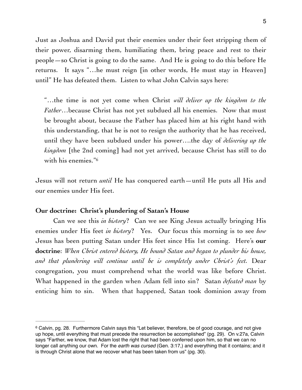5

Just as Joshua and David put their enemies under their feet stripping them of their power, disarming them, humiliating them, bring peace and rest to their people—so Christ is going to do the same. And He is going to do this before He returns. It says "…he must reign [in other words, He must stay in Heaven] until" He has defeated them. Listen to what John Calvin says here:

"…the time is not yet come when Christ *will deliver up the kingdom to the Father*…because Christ has not yet subdued all his enemies. Now that must be brought about, because the Father has placed him at his right hand with this understanding, that he is not to resign the authority that he has received, until they have been subdued under his power….the day of *delivering up the kingdom* [the 2nd coming] had not yet arrived, because Christ has still to do with his enemies."[6](#page-4-0)

<span id="page-4-1"></span>Jesus will not return *until* He has conquered earth—until He puts all His and our enemies under His feet.

#### **Our doctrine: Christ's plundering of Satan's House**

Can we see this *in history*? Can we see King Jesus actually bringing His enemies under His feet *in history*? Yes. Our focus this morning is to see *how*  Jesus has been putting Satan under His feet since His 1st coming. Here's **our doctrine**: *When Christ entered history, He bound Satan and began to plunder his house, and that plundering will continue until he is completely under Christ's feet.* Dear congregation, you must comprehend what the world was like before Christ. What happened in the garden when Adam fell into sin? Satan *defeated man* by enticing him to sin. When that happened, Satan took dominion away from

<span id="page-4-0"></span><sup>&</sup>lt;sup>6</sup>Calvin, pg. 28. Furthermore Calvin says this "Let believer, therefore, be of good courage, and not give up hope, until everything that must precede the resurrection be accomplished" (pg. 29). On v.27a, Calvin says "Farther, we know, that Adam lost the right that had been conferred upon him, so that we can no longer call anything our own. For the *earth was cursed* (Gen. 3:17,) and everything that it contains; and it is through Christ alone that we recover what has been taken from us" (pg. 30).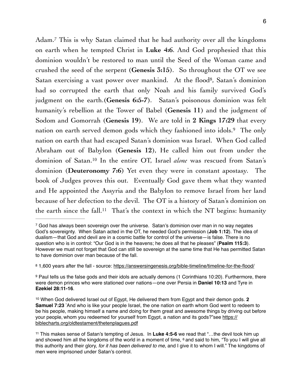<span id="page-5-7"></span><span id="page-5-6"></span><span id="page-5-5"></span>Adam.<sup>[7](#page-5-0)</sup> This is why Satan claimed that he had authority over all the kingdoms on earth when he tempted Christ in **Luke 4:6**. And God prophesied that this dominion wouldn't be restored to man until the Seed of the Woman came and crushed the seed of the serpent (**Genesis 3:15**). So throughout the OT we see Satan exercising a vast power over mankind. At the flood<sup>[8](#page-5-1)</sup>, Satan's dominion had so corrupted the earth that only Noah and his family survived God's judgment on the earth.(**Genesis 6:5-7**). Satan's poisonous dominion was felt humanity's rebellion at the Tower of Babel (**Genesis 11**) and the judgment of Sodom and Gomorrah (**Genesis 19**). We are told in **2 Kings 17:29** that every nation on earth served demon gods which they fashioned into idols[.](#page-5-2)<sup>[9](#page-5-2)</sup> The only nation on earth that had escaped Satan's dominion was Israel. When God called Abraham out of Babylon (**Genesis 12**), He called him out from under the dominion of Satan[.](#page-5-3)<sup>10</sup> In the entire OT, Israel *alone* was rescued from Satan's dominion (**Deuteronomy 7:6**) Yet even they were in constant apostasy. The book of Judges proves this out. Eventually God gave them what they wanted and He appointed the Assyria and the Babylon to remove Israel from her land because of her defection to the devil. The OT is a history of Satan's dominion on the earth since the fall[.](#page-5-4)<sup>[11](#page-5-4)</sup> That's the context in which the NT begins: humanity

<span id="page-5-9"></span><span id="page-5-8"></span><span id="page-5-0"></span> $\frac{7}{1}$  $\frac{7}{1}$  $\frac{7}{1}$ God has always been sovereign over the universe. Satan's dominion over man in no way negates God's sovereignty. When Satan acted in the OT, he needed God's permission (**Job 1:12**). The idea of dualism—that God and devil are in a cosmic battle for control of the universe—is false. There is no question who is in control: "Our God is in the heavens; he does all that he pleases" (**Psalm 115:3**). However we must not forget that God can still be sovereign at the same time that He has permitted Satan to have dominion over man because of the fall.

<span id="page-5-1"></span> <sup>1,600</sup> years after the fall - source:<https://answersingenesis.org/bible-timeline/timeline-for-the-flood/> [8](#page-5-6)

<span id="page-5-2"></span><sup>&</sup>lt;sup>9</sup>Paul tells us the false gods and their idols are actually demons (1 Corinthians 10:20). Furthermore, there were demon princes who were stationed over nations—one over Persia in **Daniel 10:13** and Tyre in **Ezekiel 28:11-16**.

<span id="page-5-3"></span><sup>&</sup>lt;sup>[10](#page-5-8)</sup> When God delivered Israel out of Egypt, He delivered them from Egypt and their demon gods. **2 Samuel 7:23** " And who is like your people Israel, the one nation on earth whom God went to redeem to be his people, making himself a name and doing for them great and awesome things by driving out before your people, whom you redeemed for yourself from Egypt, a nation and its gods?"see [https://](https://biblecharts.org/oldtestament/thetenplagues.pdf) [biblecharts.org/oldtestament/thetenplagues.pdf](https://biblecharts.org/oldtestament/thetenplagues.pdf)

<span id="page-5-4"></span><sup>&</sup>lt;sup>[11](#page-5-9)</sup> This makes sense of Satan's tempting of Jesus. In Luke 4:5-6 we read that "...the devil took him up and showed him all the kingdoms of the world in a moment of time,  $6$  and said to him, "To you I will give all this authority and their glory, *for it has been delivered to me*, and I give it to whom I will." The kingdoms of men were imprisoned under Satan's control.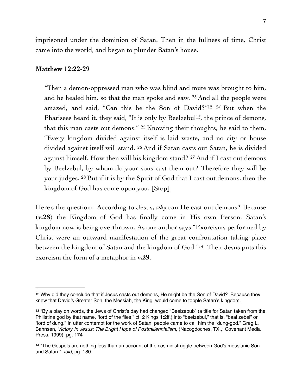imprisoned under the dominion of Satan. Then in the fullness of time, Christ came into the world, and began to plunder Satan's house.

#### **Matthew 12:22-29**

<span id="page-6-4"></span><span id="page-6-3"></span>*"*Then a demon-oppressed man who was blind and mute was brought to him, and he healed him, so that the man spoke and saw. 23 And all the people were amazed, and said, "Can this be the Son of David?"<sup>[12](#page-6-0) 24</sup> But when the Pharisees heard it[,](#page-6-1) they said, "It is only by Beelzebul<sup>[13](#page-6-1)</sup>, the prince of demons, that this man casts out demons." 25 Knowing their thoughts, he said to them, "Every kingdom divided against itself is laid waste, and no city or house divided against itself will stand. 26 And if Satan casts out Satan, he is divided against himself. How then will his kingdom stand? 27 And if I cast out demons by Beelzebul, by whom do your sons cast them out? Therefore they will be your judges. 28 But if it is by the Spirit of God that I cast out demons, then the kingdom of God has come upon you. [Stop]

<span id="page-6-5"></span>Here's the question: According to Jesus, *why* can He cast out demons? Because (**v.28**) the Kingdom of God has finally come in His own Person. Satan's kingdom now is being overthrown. As one author says "Exorcisms performed by Christ were an outward manifestation of the great confrontation taking place between the kingdom of Satan and the kingdom of God.["](#page-6-2)<sup>[14](#page-6-2)</sup> Then Jesus puts this exorcism the form of a metaphor in **v.29**.

<span id="page-6-0"></span><sup>&</sup>lt;sup>[12](#page-6-3)</sup> Why did they conclude that if Jesus casts out demons, He might be the Son of David? Because they knew that David's Greater Son, the Messiah, the King, would come to topple Satan's kingdom.

<span id="page-6-1"></span>[<sup>13</sup>](#page-6-4) "By a play on words, the Jews of Christ's day had changed "Beelzebub" (a title for Satan taken from the Philistine god by that name, "lord of the flies;" cf. 2 Kings 1:2ff.) into "beelzebul," that is, "baal zebel" or "lord of dung." In utter contempt for the work of Satan, people came to call him the "dung-god." Greg L. Bahnsen, *Victory In Jesus: The Bright Hope of Postmillennialism,* (Nacogdoches, TX.,: Covenant Media Press, 1999), pg. 174

<span id="page-6-2"></span><sup>&</sup>lt;sup>[14](#page-6-5)</sup> "The Gospels are nothing less than an account of the cosmic struggle between God's messianic Son and Satan." *Ibid,* pg. 180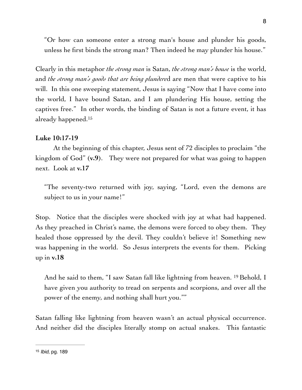"Or how can someone enter a strong man's house and plunder his goods, unless he first binds the strong man? Then indeed he may plunder his house."

Clearly in this metaphor *the strong man* is Satan, *the strong man's house* is the world, and *the strong man's goods that are being plundere*d are men that were captive to his will. In this one sweeping statement, Jesus is saying "Now that I have come into the world, I have bound Satan, and I am plundering His house, setting the captives free." In other words, the binding of Satan is not a future event, it has already happened[.15](#page-7-0)

#### <span id="page-7-1"></span>**Luke 10:17-19**

At the beginning of this chapter, Jesus sent of 72 disciples to proclaim "the kingdom of God" (**v.9**). They were not prepared for what was going to happen next. Look at **v.17**

"The seventy-two returned with joy, saying, "Lord, even the demons are subject to us in your name!"

Stop. Notice that the disciples were shocked with joy at what had happened. As they preached in Christ's name, the demons were forced to obey them. They healed those oppressed by the devil. They couldn't believe it! Something new was happening in the world. So Jesus interprets the events for them. Picking up in **v.18**

And he said to them, "I saw Satan fall like lightning from heaven. 19 Behold, I have given you authority to tread on serpents and scorpions, and over all the power of the enemy, and nothing shall hurt you.""

Satan falling like lightning from heaven wasn't an actual physical occurrence. And neither did the disciples literally stomp on actual snakes. This fantastic

<span id="page-7-0"></span>[<sup>15</sup>](#page-7-1) *Ibid,* pg. 189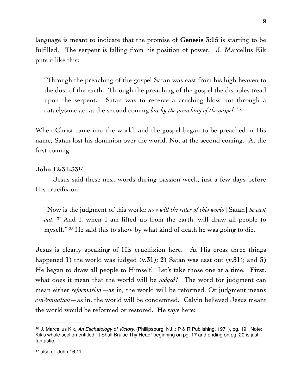language is meant to indicate that the promise of **Genesis 3:15** is starting to be fulfilled. The serpent is falling from his position of power. J. Marcellus Kik puts it like this:

<span id="page-8-2"></span>"Through the preaching of the gospel Satan was cast from his high heaven to the dust of the earth. Through the preaching of the gospel the disciples tread upon the serpent. Satan was to receive a crushing blow not through a cataclysmic act at the second coming *but by the preaching of the gospel*."[16](#page-8-0)

When Christ came into the world, and the gospel began to be preached in His name, Satan lost his dominion over the world. Not at the second coming. At the first coming.

#### <span id="page-8-3"></span>**John 12:31-3[317](#page-8-1)**

Jesus said these next words during passion week, just a few days before His crucifixion:

"Now is the judgment of this world; *now will the ruler of this world* [Satan] *be cast out.* 32 And I, when I am lifted up from the earth, will draw all people to myself." 33 He said this to show by what kind of death he was going to die.

Jesus is clearly speaking of His crucifixion here. At His cross three things happened **1)** the world was judged (**v.31**); **2)** Satan was cast out (**v.31**); and **3)** He began to draw all people to Himself. Let's take those one at a time. **First**, what does it mean that the world will be *judged*? The word for judgment can mean either *reformation*—as in, the world will be reformed. Or judgment means *condemnation*—as in, the world will be condemned. Calvin believed Jesus meant the world would be reformed or restored. He says here:

<span id="page-8-1"></span><span id="page-8-0"></span><sup>&</sup>lt;sup>[16](#page-8-2)</sup> J. Marcellus Kik, *An Eschatology of Victory*, *(Phillipsburg, NJ.,: P & R Publishing, 1971), pg. 19. Note:* Kik's whole section entitled "It Shall Bruise Thy Head" beginning on pg. 17 and ending on pg. 20 is just fantastic.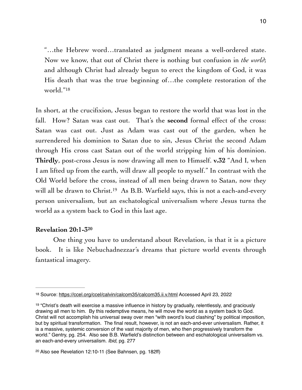"…the Hebrew word…translated as judgment means a well-ordered state. Now we know, that out of Christ there is nothing but confusion in *the world*; and although Christ had already begun to erect the kingdom of God, it was His death that was the true beginning of…the complete restoration of the world."<sup>[18](#page-9-0)</sup>

<span id="page-9-3"></span>In short, at the crucifixion, Jesus began to restore the world that was lost in the fall. How? Satan was cast out. That's the **second** formal effect of the cross: Satan was cast out. Just as Adam was cast out of the garden, when he surrendered his dominion to Satan due to sin, Jesus Christ the second Adam through His cross cast Satan out of the world stripping him of his dominion. **Thirdly**, post-cross Jesus is now drawing all men to Himself. **v.32** "And I, when I am lifted up from the earth, will draw all people to myself." In contrast with the Old World before the cross, instead of all men being drawn to Satan, now they will all be drawn to Christ[.](#page-9-1)<sup>[19](#page-9-1)</sup> As B.B. Warfield says, this is not a each-and-every person universalism, but an eschatological universalism where Jesus turns the world as a system back to God in this last age.

#### <span id="page-9-5"></span><span id="page-9-4"></span>**Revelation 20:1-[320](#page-9-2)**

One thing you have to understand about Revelation, is that it is a picture book. It is like Nebuchadnezzar's dreams that picture world events through fantastical imagery.

<span id="page-9-0"></span>[<sup>18</sup>](#page-9-3) Source:<https://ccel.org/ccel/calvin/calcom35/calcom35.ii.v.html> Accessed April 23, 2022

<span id="page-9-1"></span><sup>&</sup>lt;sup>[19](#page-9-4)</sup> "Christ's death will exercise a massive influence in history by gradually, relentlessly, and graciously drawing all men to him. By this redemptive means, he will move the world as a system back to God. Christ will not accomplish his universal sway over men "with sword's loud clashing" by political imposition, but by spiritual transformation. The final result, however, is not an each-and-ever universalism. Rather, it is a massive, systemic conversion of the vast majority of men, who then progressively transform the world." Gentry, pg. 254. Also see B.B. Warfield's distinction between and eschatological universalism vs. an each-and-every universalism. *Ibid,* pg. 277

<span id="page-9-2"></span><sup>&</sup>lt;sup>[20](#page-9-5)</sup> Also see Revelation 12:10-11 (See Bahnsen, pg. 182ff)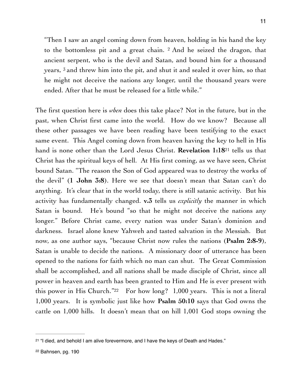"Then I saw an angel coming down from heaven, holding in his hand the key to the bottomless pit and a great chain. 2 And he seized the dragon, that ancient serpent, who is the devil and Satan, and bound him for a thousand years, 3 and threw him into the pit, and shut it and sealed it over him, so that he might not deceive the nations any longer, until the thousand years were ended. After that he must be released for a little while."

<span id="page-10-2"></span>The first question here is *when* does this take place? Not in the future, but in the past, when Christ first came into the world. How do we know? Because all these other passages we have been reading have been testifying to the exact same event. This Angel coming down from heaven having the key to hell in His handis none other than the Lord Jesus Christ. **Revelation 1:18**<sup>[21](#page-10-0)</sup> tells us that Christ has the spiritual keys of hell. At His first coming, as we have seen, Christ bound Satan. "The reason the Son of God appeared was to destroy the works of the devil" (**1 John 3:8**). Here we see that doesn't mean that Satan can't do anything. It's clear that in the world today, there is still satanic activity. But his activity has fundamentally changed. **v.3** tells us *explicitly* the manner in which Satan is bound. He's bound "so that he might not deceive the nations any longer." Before Christ came, every nation was under Satan's dominion and darkness. Israel alone knew Yahweh and tasted salvation in the Messiah. But now, as one author says, "because Christ now rules the nations (**Psalm 2:8-9**), Satan is unable to decide the nations. A missionary door of utterance has been opened to the nations for faith which no man can shut. The Great Commission shall be accomplished, and all nations shall be made disciple of Christ, since all power in heaven and earth has been granted to Him and He is ever present with this power in His Church." $22$  For how long? 1,000 years. This is not a literal 1,000 years. It is symbolic just like how **Psalm 50:10** says that God owns the cattle on 1,000 hills. It doesn't mean that on hill 1,001 God stops owning the

<span id="page-10-3"></span><span id="page-10-1"></span><span id="page-10-0"></span><sup>&</sup>lt;sup>[21](#page-10-2)</sup> "I died, and behold I am alive forevermore, and I have the keys of Death and Hades."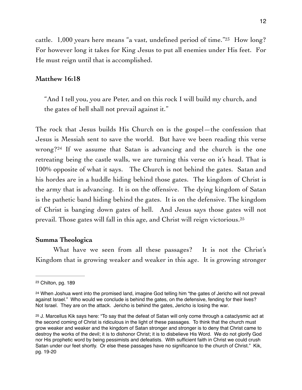<span id="page-11-3"></span>cattle. 1,000 years here means "a vast, undefined period of time."<sup>[23](#page-11-0)</sup> How long? For however long it takes for King Jesus to put all enemies under His feet. For He must reign until that is accomplished.

#### **Matthew 16:18**

"And I tell you, you are Peter, and on this rock I will build my church, and the gates of hell shall not prevail against it."

<span id="page-11-4"></span>The rock that Jesus builds His Church on is the gospel—the confession that Jesus is Messiah sent to save the world. But have we been reading this verse wrong?<sup>[24](#page-11-1)</sup> If we assume that Satan is advancing and the church is the one retreating being the castle walls, we are turning this verse on it's head. That is 100% opposite of what it says. The Church is not behind the gates. Satan and his hordes are in a huddle hiding behind those gates. The kingdom of Christ is the army that is advancing. It is on the offensive. The dying kingdom of Satan is the pathetic band hiding behind the gates. It is on the defensive. The kingdom of Christ is banging down gates of hell. And Jesus says those gates will not prevail. Those gates will fall in this age, and Christ will reign victorious.[25](#page-11-2)

#### <span id="page-11-5"></span>**Summa Theologica**

What have we seen from all these passages? It is not the Christ's Kingdom that is growing weaker and weaker in this age. It is growing stronger

<span id="page-11-0"></span>[<sup>23</sup>](#page-11-3) Chilton, pg. 189

<span id="page-11-1"></span><sup>&</sup>lt;sup>[24](#page-11-4)</sup> When Joshua went into the promised land, imagine God telling him "the gates of Jericho will not prevail against Israel." Who would we conclude is behind the gates, on the defensive, fending for their lives? Not Israel. They are on the attack. Jericho is behind the gates, Jericho is losing the war.

<span id="page-11-2"></span><sup>&</sup>lt;sup>[25](#page-11-5)</sup> J. Marcellus Kik says here: "To say that the defeat of Satan will only come through a cataclysmic act at the second coming of Christ is ridiculous in the light of these passages. To think that the church must grow weaker and weaker and the kingdom of Satan stronger and stronger is to deny that Christ came to destroy the works of the devil; it is to dishonor Christ; it is to disbelieve His Word. We do not glorify God nor His prophetic word by being pessimists and defeatists. With sufficient faith in Christ we could crush Satan under our feet shortly. Or else these passages have no significance to the church of Christ." Kik, pg. 19-20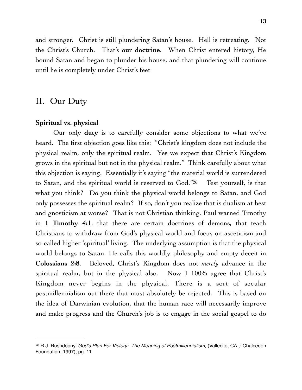and stronger. Christ is still plundering Satan's house. Hell is retreating. Not the Christ's Church. That's **our doctrine**. When Christ entered history, He bound Satan and began to plunder his house, and that plundering will continue until he is completely under Christ's feet

### II. Our Duty

#### **Spiritual vs. physical**

<span id="page-12-1"></span>Our only **duty** is to carefully consider some objections to what we've heard. The first objection goes like this: "Christ's kingdom does not include the physical realm, only the spiritual realm. Yes we expect that Christ's Kingdom grows in the spiritual but not in the physical realm." Think carefully about what this objection is saying. Essentially it's saying "the material world is surrendered to Satan, and the spiritual world is reserved to God.["](#page-12-0)[26](#page-12-0) Test yourself, is that what you think? Do you think the physical world belongs to Satan, and God only possesses the spiritual realm? If so, don't you realize that is dualism at best and gnosticism at worse? That is not Christian thinking. Paul warned Timothy in **1 Timothy 4:1**, that there are certain doctrines of demons, that teach Christians to withdraw from God's physical world and focus on asceticism and so-called higher 'spiritual' living. The underlying assumption is that the physical world belongs to Satan. He calls this worldly philosophy and empty deceit in **Colossians 2:8**. Beloved, Christ's Kingdom does not *merely* advance in the spiritual realm, but in the physical also. Now I 100% agree that Christ's Kingdom never begins in the physical. There is a sort of secular postmillennialism out there that must absolutely be rejected. This is based on the idea of Darwinian evolution, that the human race will necessarily improve and make progress and the Church's job is to engage in the social gospel to do

<span id="page-12-0"></span><sup>&</sup>lt;sup>[26](#page-12-1)</sup> R.J. Rushdoony, *God's Plan For Victory: The Meaning of Postmillennialism,* (Vallecito, CA.,: Chalcedon Foundation, 1997), pg. 11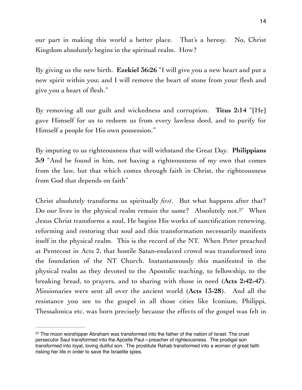our part in making this world a better place. That's a heresy. No, Christ Kingdom absolutely begins in the spiritual realm. How?

By giving us the new birth. **Ezekiel 36:26** "I will give you a new heart and put a new spirit within you; and I will remove the heart of stone from your flesh and give you a heart of flesh."

By removing all our guilt and wickedness and corruption. **Titus 2:14** "[He] gave Himself for us to redeem us from every lawless deed, and to purify for Himself a people for His own possession."

By imputing to us righteousness that will withstand the Great Day. **Philippians 3:9** "And be found in him, not having a righteousness of my own that comes from the law, but that which comes through faith in Christ, the righteousness from God that depends on faith"

<span id="page-13-1"></span>Christ absolutely transforms us spiritually *first*. But what happens after that? Do our lives in the physical realm remain the same? Absolutely not.<sup>[27](#page-13-0)</sup> When Jesus Christ transforms a soul, He begins His works of sanctification renewing, reforming and restoring that soul and this transformation necessarily manifests itself in the physical realm. This is the record of the NT. When Peter preached at Pentecost in Acts 2, that hostile Satan-enslaved crowd was transformed into the foundation of the NT Church. Instantaneously this manifested in the physical realm as they devoted to the Apostolic teaching, to fellowship, to the breaking bread, to prayers, and to sharing with those in need (**Acts 2:42-47**). Missionaries were sent all over the ancient world (**Acts 13-28**). And all the resistance you see to the gospel in all those cities like Iconium, Philippi, Thessalonica etc. was born precisely because the effects of the gospel was felt in

<span id="page-13-0"></span><sup>&</sup>lt;sup>[27](#page-13-1)</sup> The moon worshipper Abraham was transformed into the father of the nation of Israel. The cruel persecutor Saul transformed into the Apostle Paul—preacher of righteousness. The prodigal son transformed into loyal, loving dutiful son. The prostitute Rahab transformed into a woman of great faith risking her life in order to save the Israelite spies.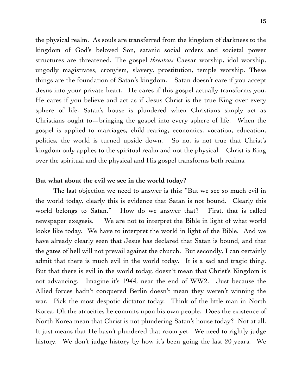the physical realm. As souls are transferred from the kingdom of darkness to the kingdom of God's beloved Son, satanic social orders and societal power structures are threatened. The gospel *threatens* Caesar worship, idol worship, ungodly magistrates, cronyism, slavery, prostitution, temple worship. These things are the foundation of Satan's kingdom. Satan doesn't care if you accept Jesus into your private heart. He cares if this gospel actually transforms you. He cares if you believe and act as if Jesus Christ is the true King over every sphere of life. Satan's house is plundered when Christians simply act as Christians ought to—bringing the gospel into every sphere of life. When the gospel is applied to marriages, child-rearing, economics, vocation, education, politics, the world is turned upside down. So no, is not true that Christ's kingdom only applies to the spiritual realm and not the physical. Christ is King over the spiritual and the physical and His gospel transforms both realms.

#### **But what about the evil we see in the world today?**

The last objection we need to answer is this: "But we see so much evil in the world today, clearly this is evidence that Satan is not bound. Clearly this world belongs to Satan." How do we answer that? First, that is called newspaper exegesis. We are not to interpret the Bible in light of what world looks like today. We have to interpret the world in light of the Bible. And we have already clearly seen that Jesus has declared that Satan is bound, and that the gates of hell will not prevail against the church. But secondly, I can certainly admit that there is much evil in the world today. It is a sad and tragic thing. But that there is evil in the world today, doesn't mean that Christ's Kingdom is not advancing. Imagine it's 1944, near the end of WW2. Just because the Allied forces hadn't conquered Berlin doesn't mean they weren't winning the war. Pick the most despotic dictator today. Think of the little man in North Korea. Oh the atrocities he commits upon his own people. Does the existence of North Korea mean that Christ is not plundering Satan's house today? Not at all. It just means that He hasn't plundered that room yet. We need to rightly judge history. We don't judge history by how it's been going the last 20 years. We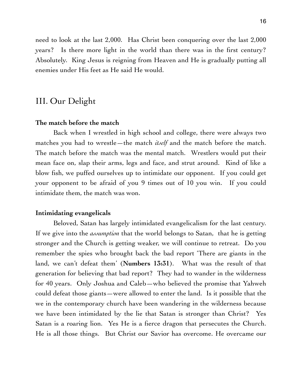need to look at the last 2,000. Has Christ been conquering over the last 2,000 years? Is there more light in the world than there was in the first century? Absolutely. King Jesus is reigning from Heaven and He is gradually putting all enemies under His feet as He said He would.

## III. Our Delight

#### **The match before the match**

Back when I wrestled in high school and college, there were always two matches you had to wrestle—the match *itself* and the match before the match. The match before the match was the mental match. Wrestlers would put their mean face on, slap their arms, legs and face, and strut around. Kind of like a blow fish, we puffed ourselves up to intimidate our opponent. If you could get your opponent to be afraid of you 9 times out of 10 you win. If you could intimidate them, the match was won.

#### **Intimidating evangelicals**

Beloved, Satan has largely intimidated evangelicalism for the last century. If we give into the *assumption* that the world belongs to Satan, that he is getting stronger and the Church is getting weaker, we will continue to retreat. Do you remember the spies who brought back the bad report 'There are giants in the land, we can't defeat them' (**Numbers 13:31**). What was the result of that generation for believing that bad report? They had to wander in the wilderness for 40 years. Only Joshua and Caleb—who believed the promise that Yahweh could defeat those giants—were allowed to enter the land. Is it possible that the we in the contemporary church have been wandering in the wilderness because we have been intimidated by the lie that Satan is stronger than Christ? Yes Satan is a roaring lion. Yes He is a fierce dragon that persecutes the Church. He is all those things. But Christ our Savior has overcome. He overcame our